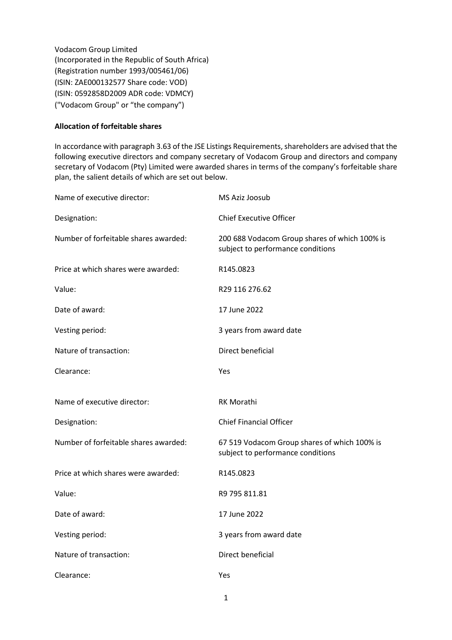Vodacom Group Limited (Incorporated in the Republic of South Africa) (Registration number 1993/005461/06) (ISIN: ZAE000132577 Share code: VOD) (ISIN: 0592858D2009 ADR code: VDMCY) ("Vodacom Group" or "the company")

## **Allocation of forfeitable shares**

In accordance with paragraph 3.63 of the JSE Listings Requirements, shareholders are advised that the following executive directors and company secretary of Vodacom Group and directors and company secretary of Vodacom (Pty) Limited were awarded shares in terms of the company's forfeitable share plan, the salient details of which are set out below.

| Name of executive director:           | MS Aziz Joosub                                                                     |  |
|---------------------------------------|------------------------------------------------------------------------------------|--|
| Designation:                          | <b>Chief Executive Officer</b>                                                     |  |
| Number of forfeitable shares awarded: | 200 688 Vodacom Group shares of which 100% is<br>subject to performance conditions |  |
| Price at which shares were awarded:   | R145.0823                                                                          |  |
| Value:                                | R29 116 276.62                                                                     |  |
| Date of award:                        | 17 June 2022                                                                       |  |
| Vesting period:                       | 3 years from award date                                                            |  |
| Nature of transaction:                | Direct beneficial                                                                  |  |
| Clearance:                            | Yes                                                                                |  |
| Name of executive director:           | <b>RK Morathi</b>                                                                  |  |
| Designation:                          | <b>Chief Financial Officer</b>                                                     |  |
| Number of forfeitable shares awarded: | 67 519 Vodacom Group shares of which 100% is<br>subject to performance conditions  |  |
| Price at which shares were awarded:   | R145.0823                                                                          |  |
|                                       |                                                                                    |  |
| Value:                                | R9 795 811.81                                                                      |  |
| Date of award:                        | 17 June 2022                                                                       |  |
| Vesting period:                       | 3 years from award date                                                            |  |
| Nature of transaction:                | Direct beneficial                                                                  |  |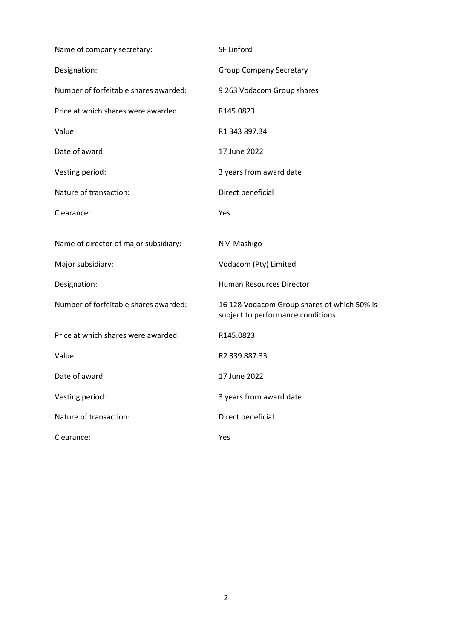| Name of company secretary:            | SF Linford                                                                       |  |
|---------------------------------------|----------------------------------------------------------------------------------|--|
| Designation:                          | <b>Group Company Secretary</b>                                                   |  |
| Number of forfeitable shares awarded: | 9 263 Vodacom Group shares                                                       |  |
| Price at which shares were awarded:   | R145.0823                                                                        |  |
| Value:                                | R1 343 897.34                                                                    |  |
| Date of award:                        | 17 June 2022                                                                     |  |
| Vesting period:                       | 3 years from award date                                                          |  |
| Nature of transaction:                | Direct beneficial                                                                |  |
| Clearance:                            | Yes                                                                              |  |
| Name of director of major subsidiary: | NM Mashigo                                                                       |  |
| Major subsidiary:                     | Vodacom (Pty) Limited                                                            |  |
| Designation:                          | Human Resources Director                                                         |  |
| Number of forfeitable shares awarded: | 16 128 Vodacom Group shares of which 50% is<br>subject to performance conditions |  |
| Price at which shares were awarded:   | R145.0823                                                                        |  |
| Value:                                | R <sub>2</sub> 339 887.33                                                        |  |
| Date of award:                        | 17 June 2022                                                                     |  |
| Vesting period:                       | 3 years from award date                                                          |  |
| Nature of transaction:                | Direct beneficial                                                                |  |
| Clearance:                            | Yes                                                                              |  |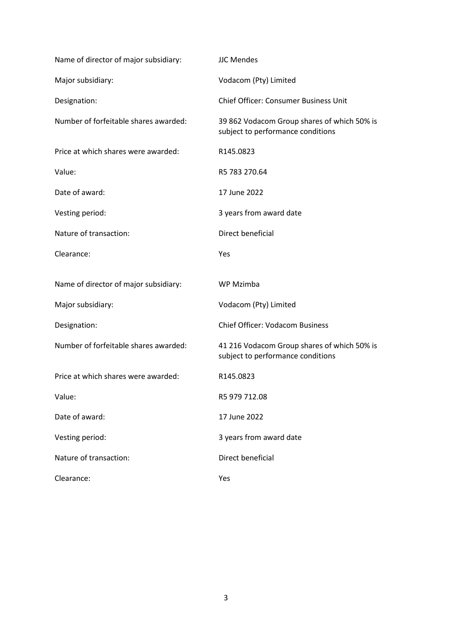| Name of director of major subsidiary: | <b>JJC Mendes</b>                                                                |  |
|---------------------------------------|----------------------------------------------------------------------------------|--|
| Major subsidiary:                     | Vodacom (Pty) Limited                                                            |  |
| Designation:                          | <b>Chief Officer: Consumer Business Unit</b>                                     |  |
| Number of forfeitable shares awarded: | 39 862 Vodacom Group shares of which 50% is<br>subject to performance conditions |  |
| Price at which shares were awarded:   | R145.0823                                                                        |  |
| Value:                                | R5 783 270.64                                                                    |  |
| Date of award:                        | 17 June 2022                                                                     |  |
| Vesting period:                       | 3 years from award date                                                          |  |
| Nature of transaction:                | Direct beneficial                                                                |  |
| Clearance:                            | Yes                                                                              |  |
| Name of director of major subsidiary: | WP Mzimba                                                                        |  |
|                                       |                                                                                  |  |
| Major subsidiary:                     | Vodacom (Pty) Limited                                                            |  |
| Designation:                          | <b>Chief Officer: Vodacom Business</b>                                           |  |
| Number of forfeitable shares awarded: | 41 216 Vodacom Group shares of which 50% is<br>subject to performance conditions |  |
| Price at which shares were awarded:   | R145.0823                                                                        |  |
| Value:                                | R5 979 712.08                                                                    |  |
| Date of award:                        | 17 June 2022                                                                     |  |
| Vesting period:                       | 3 years from award date                                                          |  |
| Nature of transaction:                | Direct beneficial                                                                |  |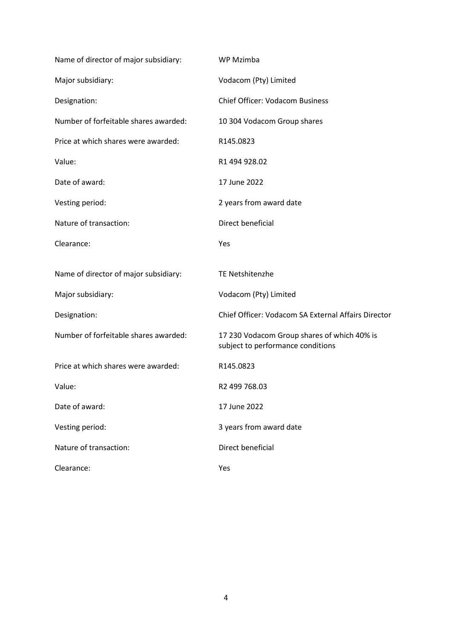| Name of director of major subsidiary: | WP Mzimba                                                                        |  |
|---------------------------------------|----------------------------------------------------------------------------------|--|
| Major subsidiary:                     | Vodacom (Pty) Limited                                                            |  |
| Designation:                          | <b>Chief Officer: Vodacom Business</b>                                           |  |
| Number of forfeitable shares awarded: | 10 304 Vodacom Group shares                                                      |  |
| Price at which shares were awarded:   | R145.0823                                                                        |  |
| Value:                                | R1 494 928.02                                                                    |  |
| Date of award:                        | 17 June 2022                                                                     |  |
| Vesting period:                       | 2 years from award date                                                          |  |
| Nature of transaction:                | Direct beneficial                                                                |  |
| Clearance:                            | Yes                                                                              |  |
|                                       | <b>TE Netshitenzhe</b>                                                           |  |
| Name of director of major subsidiary: |                                                                                  |  |
| Major subsidiary:                     | Vodacom (Pty) Limited                                                            |  |
| Designation:                          | Chief Officer: Vodacom SA External Affairs Director                              |  |
| Number of forfeitable shares awarded: | 17 230 Vodacom Group shares of which 40% is<br>subject to performance conditions |  |
| Price at which shares were awarded:   | R145.0823                                                                        |  |
| Value:                                | R2 499 768.03                                                                    |  |
| Date of award:                        | 17 June 2022                                                                     |  |
| Vesting period:                       | 3 years from award date                                                          |  |
| Nature of transaction:                | <b>Direct beneficial</b>                                                         |  |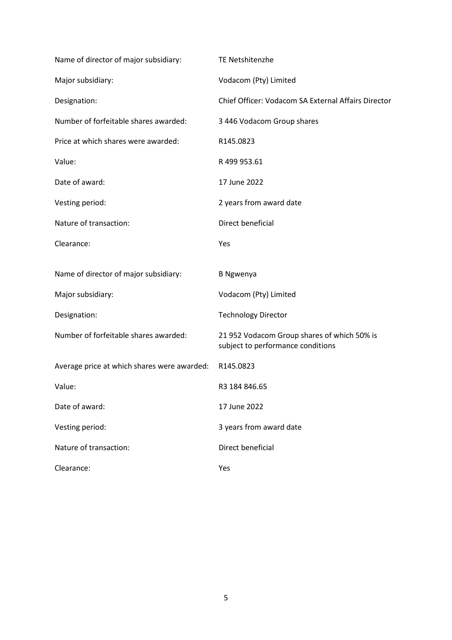| Name of director of major subsidiary:       | TE Netshitenzhe                                                                  |  |
|---------------------------------------------|----------------------------------------------------------------------------------|--|
| Major subsidiary:                           | Vodacom (Pty) Limited                                                            |  |
| Designation:                                | Chief Officer: Vodacom SA External Affairs Director                              |  |
| Number of forfeitable shares awarded:       | 3 446 Vodacom Group shares                                                       |  |
| Price at which shares were awarded:         | R145.0823                                                                        |  |
| Value:                                      | R 499 953.61                                                                     |  |
| Date of award:                              | 17 June 2022                                                                     |  |
| Vesting period:                             | 2 years from award date                                                          |  |
| Nature of transaction:                      | Direct beneficial                                                                |  |
| Clearance:                                  | Yes                                                                              |  |
|                                             |                                                                                  |  |
| Name of director of major subsidiary:       | <b>B</b> Ngwenya                                                                 |  |
| Major subsidiary:                           | Vodacom (Pty) Limited                                                            |  |
| Designation:                                | <b>Technology Director</b>                                                       |  |
| Number of forfeitable shares awarded:       | 21 952 Vodacom Group shares of which 50% is<br>subject to performance conditions |  |
| Average price at which shares were awarded: | R145.0823                                                                        |  |
| Value:                                      | R3 184 846.65                                                                    |  |
| Date of award:                              | 17 June 2022                                                                     |  |
| Vesting period:                             | 3 years from award date                                                          |  |
| Nature of transaction:                      | Direct beneficial                                                                |  |
| Clearance:                                  | Yes                                                                              |  |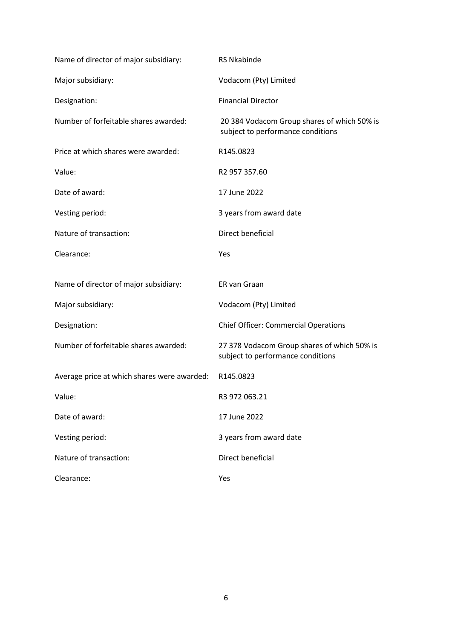| Name of director of major subsidiary:       | <b>RS Nkabinde</b>                                                               |  |
|---------------------------------------------|----------------------------------------------------------------------------------|--|
| Major subsidiary:                           | Vodacom (Pty) Limited                                                            |  |
| Designation:                                | <b>Financial Director</b>                                                        |  |
| Number of forfeitable shares awarded:       | 20 384 Vodacom Group shares of which 50% is<br>subject to performance conditions |  |
| Price at which shares were awarded:         | R145.0823                                                                        |  |
| Value:                                      | R2 957 357.60                                                                    |  |
| Date of award:                              | 17 June 2022                                                                     |  |
| Vesting period:                             | 3 years from award date                                                          |  |
| Nature of transaction:                      | Direct beneficial                                                                |  |
| Clearance:                                  | Yes                                                                              |  |
| Name of director of major subsidiary:       | ER van Graan                                                                     |  |
| Major subsidiary:                           | Vodacom (Pty) Limited                                                            |  |
| Designation:                                | <b>Chief Officer: Commercial Operations</b>                                      |  |
| Number of forfeitable shares awarded:       | 27 378 Vodacom Group shares of which 50% is<br>subject to performance conditions |  |
| Average price at which shares were awarded: | R145.0823                                                                        |  |
| Value:                                      | R3 972 063.21                                                                    |  |
| Date of award:                              | 17 June 2022                                                                     |  |
| Vesting period:                             | 3 years from award date                                                          |  |
| Nature of transaction:                      | Direct beneficial                                                                |  |
| Clearance:                                  | Yes                                                                              |  |